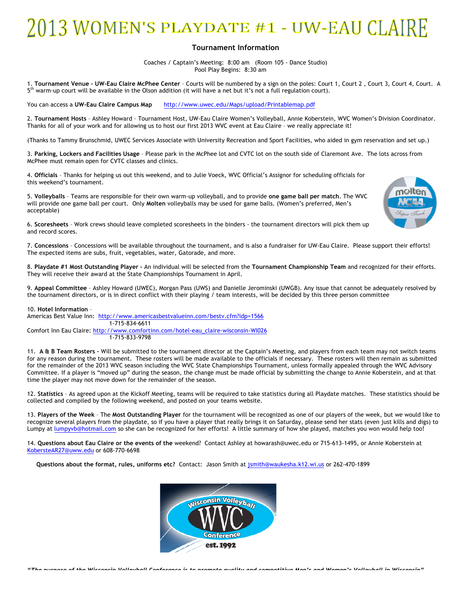## 2013 WOMEN'S PLAYDATE #1 - UW-EAU CLAIRE

## **Tournament Information**

Coaches / Captain's Meeting: 8:00 am (Room 105 - Dance Studio) Pool Play Begins: 8:30 am

1. **Tournament Venue – UW-Eau Claire McPhee Center** – Courts will be numbered by a sign on the poles: Court 1, Court 2 , Court 3, Court 4, Court. A 5<sup>th</sup> warm-up court will be available in the Olson addition (it will have a net but it's not a full regulation court).

You can access a **UW-Eau Claire Campus Map** http://www.uwec.edu/Maps/upload/Printablemap.pdf

2. **Tournament Hosts** – Ashley Howard – Tournament Host, UW-Eau Claire Women's Volleyball, Annie Koberstein, WVC Women's Division Coordinator. Thanks for all of your work and for allowing us to host our first 2013 WVC event at Eau Claire – we really appreciate it!

(Thanks to Tammy Brunschmid, UWEC Services Associate with University Recreation and Sport Facilities, who aided in gym reservation and set up.)

3. **Parking, Lockers and Facilities Usage** – Please park in the McPhee lot and CVTC lot on the south side of Claremont Ave. The lots across from McPhee must remain open for CVTC classes and clinics.

4. **Officials** – Thanks for helping us out this weekend, and to Julie Voeck, WVC Official's Assignor for scheduling officials for this weekend's tournament.

5. **Volleyballs** – Teams are responsible for their own warm-up volleyball, and to provide **one game ball per match**. The WVC will provide one game ball per court. Only **Molten** volleyballs may be used for game balls. (Women's preferred, Men's acceptable)

6. **Scoresheets** – Work crews should leave completed scoresheets in the binders - the tournament directors will pick them up and record scores.

7. **Concessions** – Concessions will be available throughout the tournament, and is also a fundraiser for UW-Eau Claire. Please support their efforts! The expected items are subs, fruit, vegetables, water, Gatorade, and more.

8. **Playdate #1 Most Outstanding Player –** An individual will be selected from the **Tournament Championship Team** and recognized for their efforts. They will receive their award at the State Championships Tournament in April.

9. **Appeal Committee** – Ashley Howard (UWEC), Morgan Pass (UWS) and Danielle Jerominski (UWGB). Any issue that cannot be adequately resolved by the tournament directors, or is in direct conflict with their playing / team interests, will be decided by this three person committee

## 10. **Hotel Information** –

Americas Best Value Inn: http://www.americasbestvalueinn.com/bestv.cfm?idp=1566 1-715-834-6611

Comfort Inn Eau Claire: http://www.comfortinn.com/hotel-eau\_claire-wisconsin-WI026 1-715-833-9798

11. **A & B Team Rosters –** Will be submitted to the tournament director at the Captain's Meeting, and players from each team may not switch teams for any reason during the tournament. These rosters will be made available to the officials if necessary. These rosters will then remain as submitted for the remainder of the 2013 WVC season including the WVC State Championships Tournament, unless formally appealed through the WVC Advisory Committee. If a player is "moved up" during the season, the change must be made official by submitting the change to Annie Koberstein, and at that time the player may not move down for the remainder of the season.

12. **Statistics** – As agreed upon at the Kickoff Meeting, teams will be required to take statistics during all Playdate matches. These statistics should be collected and compiled by the following weekend, and posted on your teams website.

13. **Players of the Week** – The **Most Outstanding Player** for the tournament will be recognized as one of our players of the week, but we would like to recognize several players from the playdate, so if you have a player that really brings it on Saturday, please send her stats (even just kills and digs) to Lumpy at lumpyvb@hotmail.com so she can be recognized for her efforts! A little summary of how she played, matches you won would help too!

14. **Questions about Eau Claire or the events of the** weekend? Contact Ashley at howarash@uwec.edu or 715-613-1495, or Annie Koberstein at KobersteAR27@uww.edu or 608-770-6698

**Questions about the format, rules, uniforms etc?** Contact: Jason Smith at jsmith@waukesha.k12.wi.us or 262-470-1899